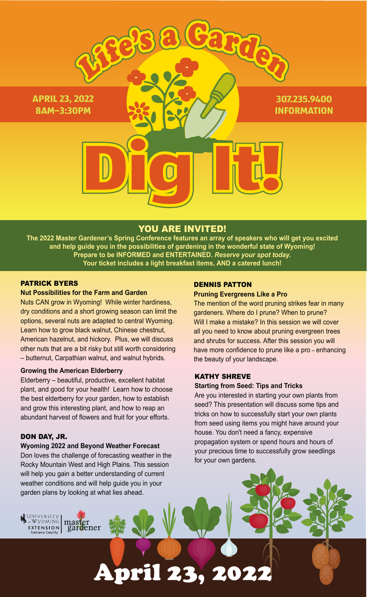

# YOU ARE INVITED!

**The 2022 Master Gardener's Spring Conference features an array of speakers who will get you excited and help guide you in the possibilities of gardening in the wonderful state of Wyoming! Prepare to be INFORMED and ENTERTAINED.** *Reserve your spot today.* **Your ticket includes a light breakfast items, AND a catered lunch!** 

**April 23, 2022** 

### PATRICK BYERS

### **Nut Possibilities for the Farm and Garden**

Nuts CAN grow in Wyoming! While winter hardiness, dry conditions and a short growing season can limit the options, several nuts are adapted to central Wyoming. Learn how to grow black walnut, Chinese chestnut, American hazelnut, and hickory. Plus, we will discuss other nuts that are a bit risky but still worth considering – butternut, Carpathian walnut, and walnut hybrids.

### **Growing the American Elderberry**

Elderberry – beautiful, productive, excellent habitat plant, and good for your health! Learn how to choose the best elderberry for your garden, how to establish and grow this interesting plant, and how to reap an abundant harvest of flowers and fruit for your efforts.

### DON DAY, JR.

University<br>of Wyoming

EXTENSION

**Wyoming 2022 and Beyond Weather Forecast** Don loves the challenge of forecasting weather in the Rocky Mountain West and High Plains. This session will help you gain a better understanding of current weather conditions and will help guide you in your garden plans by looking at what lies ahead.

master<br>gardener

### DENNIS PATTON

### **Pruning Evergreens Like a Pro**

The mention of the word pruning strikes fear in many gardeners. Where do I prune? When to prune? Will I make a mistake? In this session we will cover all you need to know about pruning evergreen trees and shrubs for success. After this session you will have more confidence to prune like a pro – enhancing the beauty of your landscape.

### KATHY SHREVE

### **Starting from Seed: Tips and Tricks**

Are you interested in starting your own plants from seed? This presentation will discuss some tips and tricks on how to successfully start your own plants from seed using items you might have around your house. You don't need a fancy, expensive propagation system or spend hours and hours of your precious time to successfully grow seedlings for your own gardens.